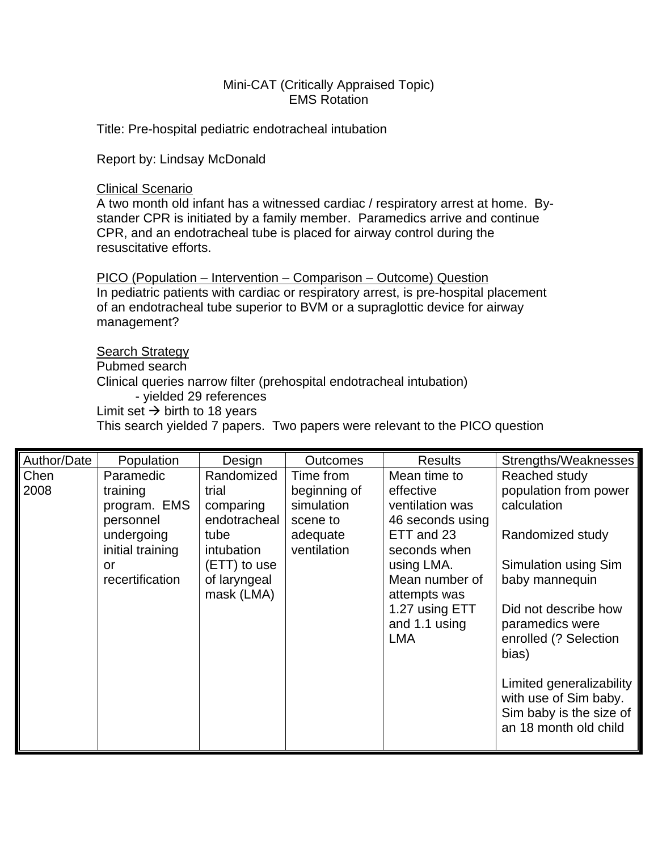## Mini-CAT (Critically Appraised Topic) EMS Rotation

Title: Pre-hospital pediatric endotracheal intubation

Report by: Lindsay McDonald

#### Clinical Scenario

A two month old infant has a witnessed cardiac / respiratory arrest at home. Bystander CPR is initiated by a family member. Paramedics arrive and continue CPR, and an endotracheal tube is placed for airway control during the resuscitative efforts.

PICO (Population – Intervention – Comparison – Outcome) Question In pediatric patients with cardiac or respiratory arrest, is pre-hospital placement of an endotracheal tube superior to BVM or a supraglottic device for airway management?

### **Search Strategy**

Pubmed search

Clinical queries narrow filter (prehospital endotracheal intubation)

- yielded 29 references

Limit set  $\rightarrow$  birth to 18 years

This search yielded 7 papers. Two papers were relevant to the PICO question

| Randomized<br>Mean time to<br>Chen<br>Paramedic<br>Time from<br>2008<br>beginning of<br>effective<br>trial                                                                                                                                                                                                                                                                                                                   | Reached study                                                                                                                                                                                                                                                                            |
|------------------------------------------------------------------------------------------------------------------------------------------------------------------------------------------------------------------------------------------------------------------------------------------------------------------------------------------------------------------------------------------------------------------------------|------------------------------------------------------------------------------------------------------------------------------------------------------------------------------------------------------------------------------------------------------------------------------------------|
| training<br>simulation<br>ventilation was<br>program. EMS<br>comparing<br>endotracheal<br>46 seconds using<br>personnel<br>scene to<br>undergoing<br>ETT and 23<br>adequate<br>tube<br>initial training<br>ventilation<br>intubation<br>seconds when<br>(ETT) to use<br>using LMA.<br>or<br>Mean number of<br>recertification<br>of laryngeal<br>mask (LMA)<br>attempts was<br>1.27 using ETT<br>and 1.1 using<br><b>LMA</b> | population from power<br>calculation<br>Randomized study<br>Simulation using Sim<br>baby mannequin<br>Did not describe how<br>paramedics were<br>enrolled (? Selection<br>bias)<br>Limited generalizability<br>with use of Sim baby.<br>Sim baby is the size of<br>an 18 month old child |